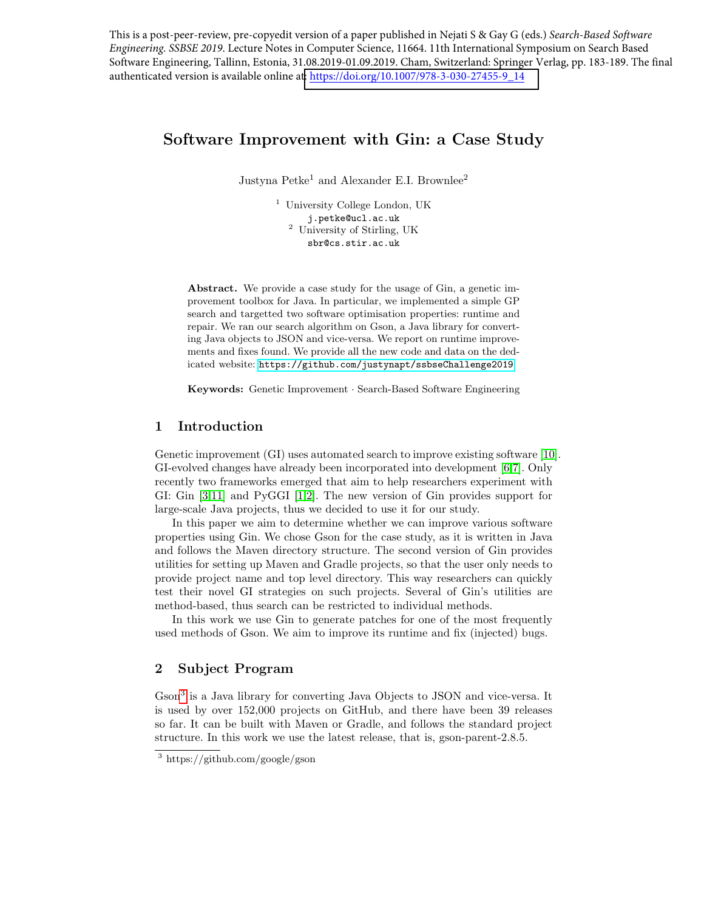This is a post-peer-review, pre-copyedit version of a paper published in Nejati S & Gay G (eds.) *Search-Based Software Engineering. SSBSE 2019*. Lecture Notes in Computer Science, 11664. 11th International Symposium on Search Based Software Engineering, Tallinn, Estonia, 31.08.2019-01.09.2019. Cham, Switzerland: Springer Verlag, pp. 183-189. The final authenticated version is available online at[: https://doi.org/10.1007/978-3-030-27455-9\\_14](https://doi.org/10.1007/978-3-030-27455-9_14)

# Software Improvement with Gin: a Case Study

Justyna  $Petke<sup>1</sup>$  and Alexander E.I. Brownlee<sup>2</sup>

<sup>1</sup> University College London, UK j.petke@ucl.ac.uk <sup>2</sup> University of Stirling, UK sbr@cs.stir.ac.uk

Abstract. We provide a case study for the usage of Gin, a genetic improvement toolbox for Java. In particular, we implemented a simple GP search and targetted two software optimisation properties: runtime and repair. We ran our search algorithm on Gson, a Java library for converting Java objects to JSON and vice-versa. We report on runtime improvements and fixes found. We provide all the new code and data on the dedicated website: <https://github.com/justynapt/ssbseChallenge2019>.

Keywords: Genetic Improvement · Search-Based Software Engineering

# 1 Introduction

Genetic improvement (GI) uses automated search to improve existing software [\[10\]](#page-5-0). GI-evolved changes have already been incorporated into development [\[6,](#page-5-1)[7\]](#page-5-2). Only recently two frameworks emerged that aim to help researchers experiment with GI: Gin [\[3,](#page-5-3)[11\]](#page-5-4) and PyGGI [\[1,](#page-5-5)[2\]](#page-5-6). The new version of Gin provides support for large-scale Java projects, thus we decided to use it for our study.

In this paper we aim to determine whether we can improve various software properties using Gin. We chose Gson for the case study, as it is written in Java and follows the Maven directory structure. The second version of Gin provides utilities for setting up Maven and Gradle projects, so that the user only needs to provide project name and top level directory. This way researchers can quickly test their novel GI strategies on such projects. Several of Gin's utilities are method-based, thus search can be restricted to individual methods.

In this work we use Gin to generate patches for one of the most frequently used methods of Gson. We aim to improve its runtime and fix (injected) bugs.

# 2 Subject Program

Gson<sup>[3](#page-0-0)</sup> is a Java library for converting Java Objects to JSON and vice-versa. It is used by over 152,000 projects on GitHub, and there have been 39 releases so far. It can be built with Maven or Gradle, and follows the standard project structure. In this work we use the latest release, that is, gson-parent-2.8.5.

<span id="page-0-0"></span><sup>3</sup> https://github.com/google/gson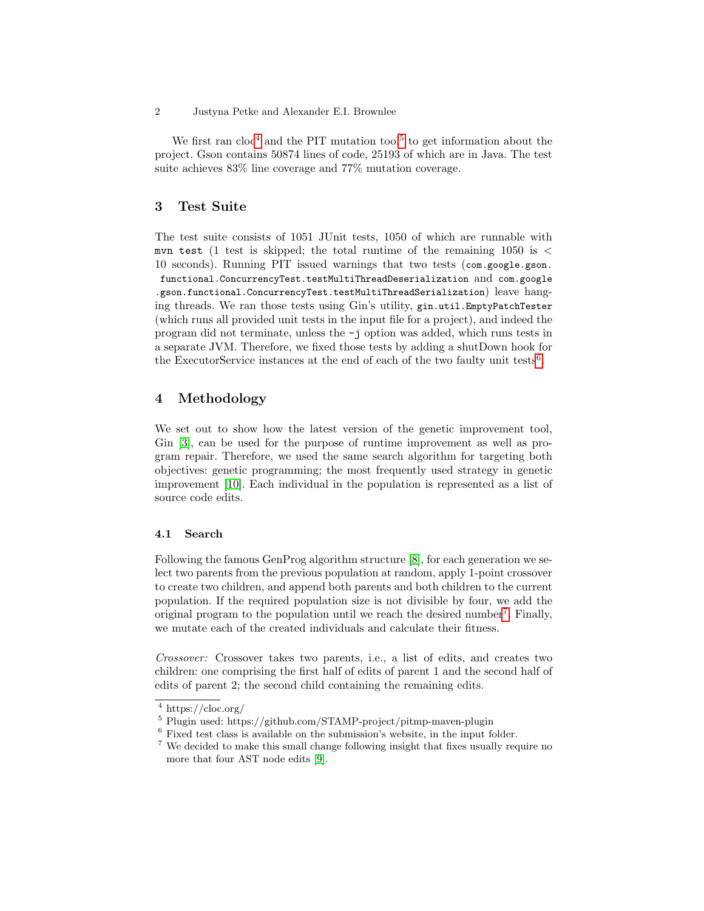We first ran  $\text{cloc}^4$  $\text{cloc}^4$  and the PIT mutation tool<sup>[5](#page-1-1)</sup> to get information about the project. Gson contains 50874 lines of code, 25193 of which are in Java. The test suite achieves 83% line coverage and 77% mutation coverage.

# 3 Test Suite

The test suite consists of 1051 JUnit tests, 1050 of which are runnable with mvn test (1 test is skipped; the total runtime of the remaining 1050 is  $\lt$ 10 seconds). Running PIT issued warnings that two tests (com.google.gson. functional.ConcurrencyTest.testMultiThreadDeserialization and com.google .gson.functional.ConcurrencyTest.testMultiThreadSerialization) leave hanging threads. We ran those tests using Gin's utility, gin.util.EmptyPatchTester (which runs all provided unit tests in the input file for a project), and indeed the program did not terminate, unless the -j option was added, which runs tests in a separate JVM. Therefore, we fixed those tests by adding a shutDown hook for the ExecutorService instances at the end of each of the two faulty unit tests<sup>[6](#page-1-2)</sup>.

# 4 Methodology

We set out to show how the latest version of the genetic improvement tool, Gin [\[3\]](#page-5-3), can be used for the purpose of runtime improvement as well as program repair. Therefore, we used the same search algorithm for targeting both objectives: genetic programming; the most frequently used strategy in genetic improvement [\[10\]](#page-5-0). Each individual in the population is represented as a list of source code edits.

#### 4.1 Search

Following the famous GenProg algorithm structure [\[8\]](#page-5-7), for each generation we select two parents from the previous population at random, apply 1-point crossover to create two children, and append both parents and both children to the current population. If the required population size is not divisible by four, we add the original program to the population until we reach the desired number<sup>[7](#page-1-3)</sup>. Finally, we mutate each of the created individuals and calculate their fitness.

Crossover: Crossover takes two parents, i.e., a list of edits, and creates two children: one comprising the first half of edits of parent 1 and the second half of edits of parent 2; the second child containing the remaining edits.

<sup>2</sup> Justyna Petke and Alexander E.I. Brownlee

<span id="page-1-0"></span><sup>4</sup> https://cloc.org/

<span id="page-1-1"></span><sup>5</sup> Plugin used: https://github.com/STAMP-project/pitmp-maven-plugin

<span id="page-1-2"></span><sup>6</sup> Fixed test class is available on the submission's website, in the input folder.

<span id="page-1-3"></span> $^7$  We decided to make this small change following insight that fixes usually require no more that four AST node edits [\[9\]](#page-5-8).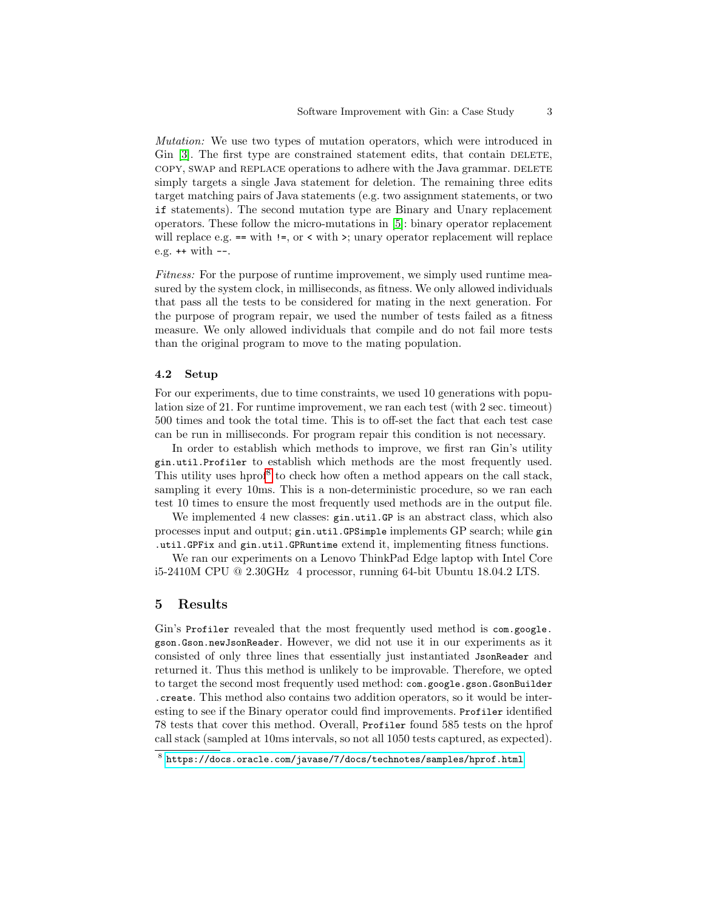Mutation: We use two types of mutation operators, which were introduced in Gin  $[3]$ . The first type are constrained statement edits, that contain DELETE, copy, swap and REPLACE operations to adhere with the Java grammar. DELETE simply targets a single Java statement for deletion. The remaining three edits target matching pairs of Java statements (e.g. two assignment statements, or two if statements). The second mutation type are Binary and Unary replacement operators. These follow the micro-mutations in [\[5\]](#page-5-9): binary operator replacement will replace e.g.  $==$  with  $!=$ , or  $\lt$  with  $\gt$ ; unary operator replacement will replace e.g. ++ with --.

Fitness: For the purpose of runtime improvement, we simply used runtime measured by the system clock, in milliseconds, as fitness. We only allowed individuals that pass all the tests to be considered for mating in the next generation. For the purpose of program repair, we used the number of tests failed as a fitness measure. We only allowed individuals that compile and do not fail more tests than the original program to move to the mating population.

#### 4.2 Setup

For our experiments, due to time constraints, we used 10 generations with population size of 21. For runtime improvement, we ran each test (with 2 sec. timeout) 500 times and took the total time. This is to off-set the fact that each test case can be run in milliseconds. For program repair this condition is not necessary.

In order to establish which methods to improve, we first ran Gin's utility gin.util.Profiler to establish which methods are the most frequently used. This utility uses hprof<sup>[8](#page-2-0)</sup> to check how often a method appears on the call stack, sampling it every 10ms. This is a non-deterministic procedure, so we ran each test 10 times to ensure the most frequently used methods are in the output file.

We implemented 4 new classes: gin.util.GP is an abstract class, which also processes input and output; gin.util.GPSimple implements GP search; while gin .util.GPFix and gin.util.GPRuntime extend it, implementing fitness functions.

We ran our experiments on a Lenovo ThinkPad Edge laptop with Intel Core i5-2410M CPU @ 2.30GHz 4 processor, running 64-bit Ubuntu 18.04.2 LTS.

### 5 Results

Gin's Profiler revealed that the most frequently used method is com.google. gson.Gson.newJsonReader. However, we did not use it in our experiments as it consisted of only three lines that essentially just instantiated JsonReader and returned it. Thus this method is unlikely to be improvable. Therefore, we opted to target the second most frequently used method: com.google.gson.GsonBuilder .create. This method also contains two addition operators, so it would be interesting to see if the Binary operator could find improvements. Profiler identified 78 tests that cover this method. Overall, Profiler found 585 tests on the hprof call stack (sampled at 10ms intervals, so not all 1050 tests captured, as expected).

<span id="page-2-0"></span> $^8$  <https://docs.oracle.com/javase/7/docs/technotes/samples/hprof.html>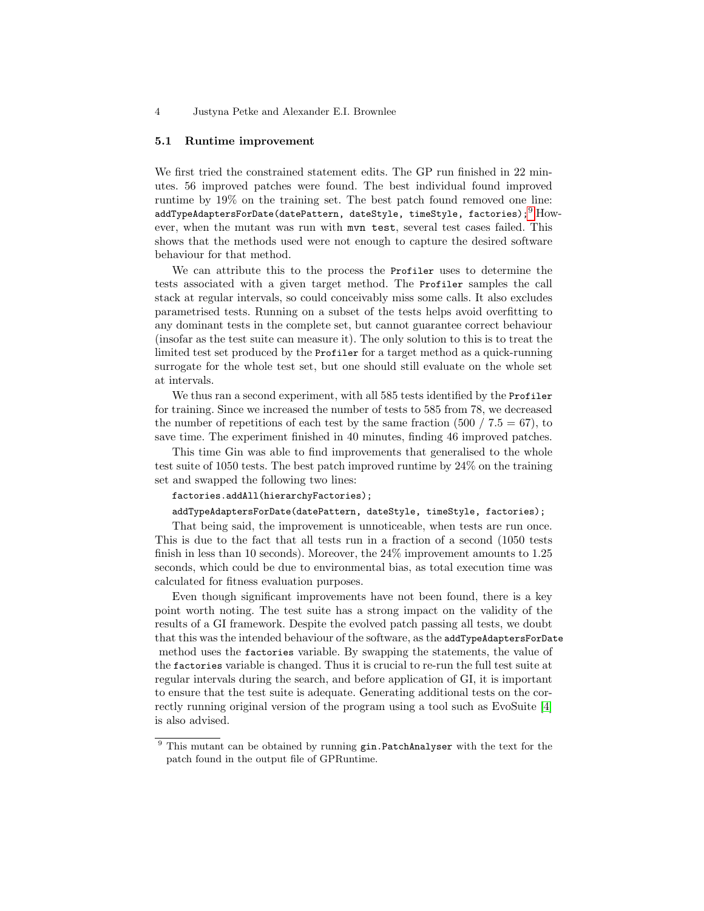4 Justyna Petke and Alexander E.I. Brownlee

#### 5.1 Runtime improvement

We first tried the constrained statement edits. The GP run finished in 22 minutes. 56 improved patches were found. The best individual found improved runtime by 19% on the training set. The best patch found removed one line: addTypeAdaptersForDate(datePattern, dateStyle, timeStyle, factories);  $^{9}$  $^{9}$  $^{9}$  However, when the mutant was run with mvn test, several test cases failed. This shows that the methods used were not enough to capture the desired software behaviour for that method.

We can attribute this to the process the Profiler uses to determine the tests associated with a given target method. The Profiler samples the call stack at regular intervals, so could conceivably miss some calls. It also excludes parametrised tests. Running on a subset of the tests helps avoid overfitting to any dominant tests in the complete set, but cannot guarantee correct behaviour (insofar as the test suite can measure it). The only solution to this is to treat the limited test set produced by the Profiler for a target method as a quick-running surrogate for the whole test set, but one should still evaluate on the whole set at intervals.

We thus ran a second experiment, with all 585 tests identified by the Profiler for training. Since we increased the number of tests to 585 from 78, we decreased the number of repetitions of each test by the same fraction  $(500 / 7.5 = 67)$ , to save time. The experiment finished in 40 minutes, finding 46 improved patches.

This time Gin was able to find improvements that generalised to the whole test suite of 1050 tests. The best patch improved runtime by 24% on the training set and swapped the following two lines:

### factories.addAll(hierarchyFactories);

addTypeAdaptersForDate(datePattern, dateStyle, timeStyle, factories);

That being said, the improvement is unnoticeable, when tests are run once. This is due to the fact that all tests run in a fraction of a second (1050 tests finish in less than 10 seconds). Moreover, the 24% improvement amounts to 1.25 seconds, which could be due to environmental bias, as total execution time was calculated for fitness evaluation purposes.

Even though significant improvements have not been found, there is a key point worth noting. The test suite has a strong impact on the validity of the results of a GI framework. Despite the evolved patch passing all tests, we doubt that this was the intended behaviour of the software, as the addTypeAdaptersForDate method uses the factories variable. By swapping the statements, the value of the factories variable is changed. Thus it is crucial to re-run the full test suite at regular intervals during the search, and before application of GI, it is important to ensure that the test suite is adequate. Generating additional tests on the correctly running original version of the program using a tool such as EvoSuite [\[4\]](#page-5-10) is also advised.

<span id="page-3-0"></span><sup>&</sup>lt;sup>9</sup> This mutant can be obtained by running gin.PatchAnalyser with the text for the patch found in the output file of GPRuntime.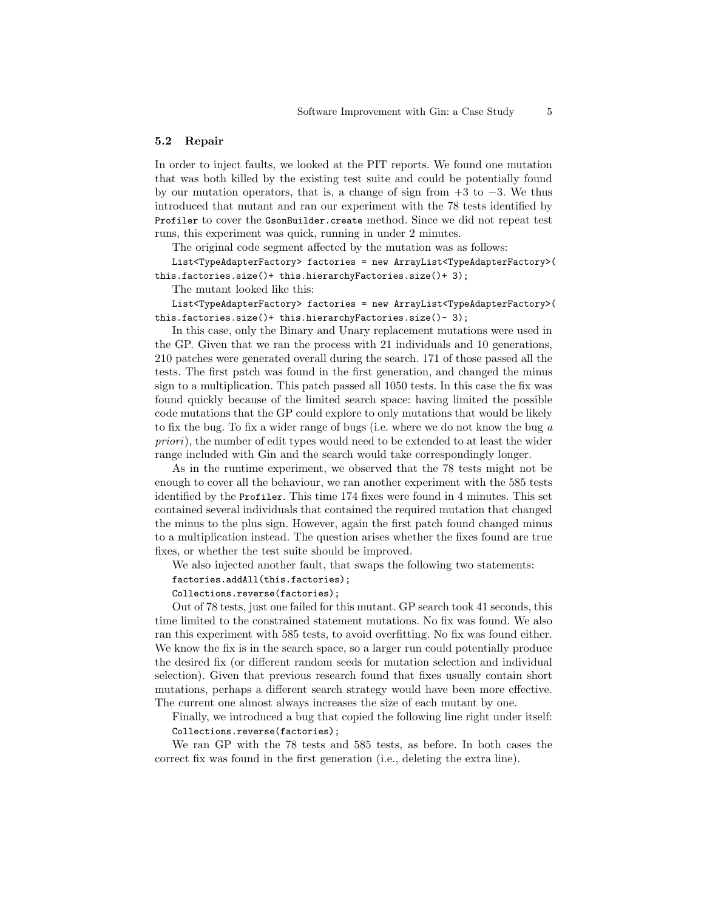#### 5.2 Repair

In order to inject faults, we looked at the PIT reports. We found one mutation that was both killed by the existing test suite and could be potentially found by our mutation operators, that is, a change of sign from  $+3$  to  $-3$ . We thus introduced that mutant and ran our experiment with the 78 tests identified by Profiler to cover the GsonBuilder.create method. Since we did not repeat test runs, this experiment was quick, running in under 2 minutes.

The original code segment affected by the mutation was as follows:

List<TypeAdapterFactory> factories = new ArrayList<TypeAdapterFactory>( this.factories.size()+ this.hierarchyFactories.size()+ 3);

The mutant looked like this:

List<TypeAdapterFactory> factories = new ArrayList<TypeAdapterFactory>( this.factories.size()+ this.hierarchyFactories.size()- 3);

In this case, only the Binary and Unary replacement mutations were used in the GP. Given that we ran the process with 21 individuals and 10 generations, 210 patches were generated overall during the search. 171 of those passed all the tests. The first patch was found in the first generation, and changed the minus sign to a multiplication. This patch passed all 1050 tests. In this case the fix was found quickly because of the limited search space: having limited the possible code mutations that the GP could explore to only mutations that would be likely to fix the bug. To fix a wider range of bugs (i.e. where we do not know the bug a priori), the number of edit types would need to be extended to at least the wider range included with Gin and the search would take correspondingly longer.

As in the runtime experiment, we observed that the 78 tests might not be enough to cover all the behaviour, we ran another experiment with the 585 tests identified by the Profiler. This time 174 fixes were found in 4 minutes. This set contained several individuals that contained the required mutation that changed the minus to the plus sign. However, again the first patch found changed minus to a multiplication instead. The question arises whether the fixes found are true fixes, or whether the test suite should be improved.

We also injected another fault, that swaps the following two statements:

factories.addAll(this.factories);

#### Collections.reverse(factories);

Out of 78 tests, just one failed for this mutant. GP search took 41 seconds, this time limited to the constrained statement mutations. No fix was found. We also ran this experiment with 585 tests, to avoid overfitting. No fix was found either. We know the fix is in the search space, so a larger run could potentially produce the desired fix (or different random seeds for mutation selection and individual selection). Given that previous research found that fixes usually contain short mutations, perhaps a different search strategy would have been more effective. The current one almost always increases the size of each mutant by one.

Finally, we introduced a bug that copied the following line right under itself: Collections.reverse(factories);

We ran GP with the 78 tests and 585 tests, as before. In both cases the correct fix was found in the first generation (i.e., deleting the extra line).